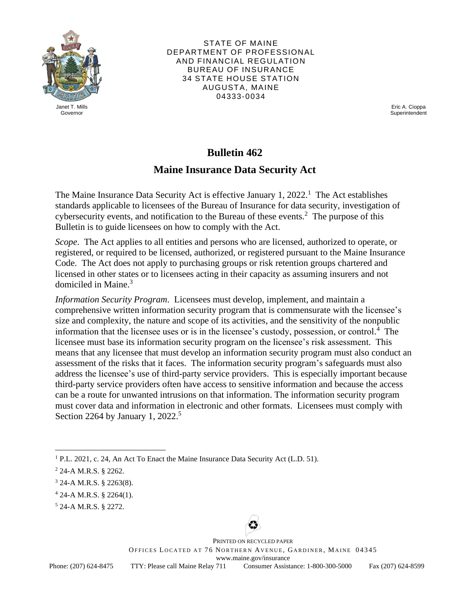

STATE OF MAINE DEPARTMENT OF PROFESSIONAL AND FINANCIAL REGULATION BUREAU OF INSURANCE 34 STATE HOUSE STATION AUGUSTA, MAINE 04333-0034

Janet T. Mills Eric A. Cioppa Governor Superintendent Superintendent Superintendent Superintendent Superintendent Superintendent Superintendent

## **Bulletin 462**

## **Maine Insurance Data Security Act**

The Maine Insurance Data Security Act is effective January  $1, 2022$ .<sup>1</sup> The Act establishes cybersecurity events, and notification to the Bureau of these events.<sup>2</sup> The purpose of this standards applicable to licensees of the Bureau of Insurance for data security, investigation of Bulletin is to guide licensees on how to comply with the Act.

*Scope*. The Act applies to all entities and persons who are licensed, authorized to operate, or registered, or required to be licensed, authorized, or registered pursuant to the Maine Insurance Code. The Act does not apply to purchasing groups or risk retention groups chartered and licensed in other states or to licensees acting in their capacity as assuming insurers and not domiciled in Maine. 3

*Information Security Program*. Licensees must develop, implement, and maintain a comprehensive written information security program that is commensurate with the licensee's size and complexity, the nature and scope of its activities, and the sensitivity of the nonpublic information that the licensee uses or is in the licensee's custody, possession, or control. 4 The licensee must base its information security program on the licensee's risk assessment. This means that any licensee that must develop an information security program must also conduct an assessment of the risks that it faces. The information security program's safeguards must also address the licensee's use of third-party service providers. This is especially important because third-party service providers often have access to sensitive information and because the access can be a route for unwanted intrusions on that information. The information security program must cover data and information in electronic and other formats. Licensees must comply with Section 2264 by January 1, 2022.<sup>5</sup>



OFFICES LOCATED AT 76 NORTHERN AVENUE, GARDINER, MAINE 04345 PRINTED ON RECYCLED PAPER www.maine.gov/insurance Phone: (207) 624-8475 TTY: Please call Maine Relay 711 Consumer Assistance: 1-800-300-5000 Fax (207) 624-8599

Phone: (207) 624-8475

<sup>&</sup>lt;sup>1</sup> P.L. 2021, c. 24, An Act To Enact the Maine Insurance Data Security Act (L.D. 51).

<sup>2 24-</sup>A M.R.S. § 2262.

<sup>3 24-</sup>A M.R.S. § 2263(8).

 $4$  24-A M.R.S. § 2264(1).

<sup>5 24-</sup>A M.R.S. § 2272.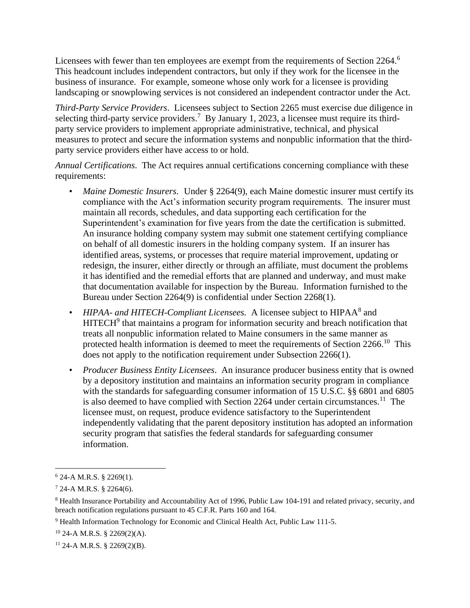Licensees with fewer than ten employees are exempt from the requirements of Section 2264.<sup>6</sup> This headcount includes independent contractors, but only if they work for the licensee in the business of insurance. For example, someone whose only work for a licensee is providing landscaping or snowplowing services is not considered an independent contractor under the Act.

selecting third-party service providers.<sup>7</sup> By January 1, 2023, a licensee must require its third-*Third-Party Service Providers*. Licensees subject to Section 2265 must exercise due diligence in party service providers to implement appropriate administrative, technical, and physical measures to protect and secure the information systems and nonpublic information that the thirdparty service providers either have access to or hold.

*Annual Certifications*. The Act requires annual certifications concerning compliance with these requirements:

- compliance with the Act's information security program requirements. The insurer must that documentation available for inspection by the Bureau. Information furnished to the • *Maine Domestic Insurers.* Under § 2264(9), each Maine domestic insurer must certify its maintain all records, schedules, and data supporting each certification for the Superintendent's examination for five years from the date the certification is submitted. An insurance holding company system may submit one statement certifying compliance on behalf of all domestic insurers in the holding company system. If an insurer has identified areas, systems, or processes that require material improvement, updating or redesign, the insurer, either directly or through an affiliate, must document the problems it has identified and the remedial efforts that are planned and underway, and must make Bureau under Section 2264(9) is confidential under Section 2268(1).
- *HIPAA- and HITECH-Compliant Licensees.* A licensee subject to HIPAA<sup>8</sup> and  $HITECH<sup>9</sup>$  that maintains a program for information security and breach notification that treats all nonpublic information related to Maine consumers in the same manner as protected health information is deemed to meet the requirements of Section 2266.<sup>10</sup> This does not apply to the notification requirement under Subsection 2266(1).
- is also deemed to have complied with Section 2264 under certain [circumstances.](https://circumstances.11)<sup>11</sup> The • *Producer Business Entity Licensees*. An insurance producer business entity that is owned by a depository institution and maintains an information security program in compliance with the standards for safeguarding consumer information of 15 U.S.C. §§ 6801 and 6805 licensee must, on request, produce evidence satisfactory to the Superintendent independently validating that the parent depository institution has adopted an information security program that satisfies the federal standards for safeguarding consumer information.

 $6$  24-A M.R.S. § 2269(1).

 $7$  24-A M.R.S. § 2264(6).

<sup>8</sup> Health Insurance Portability and Accountability Act of 1996, Public Law 104-191 and related privacy, security, and breach notification regulations pursuant to 45 C.F.R. Parts 160 and 164.

<sup>&</sup>lt;sup>9</sup> Health Information Technology for Economic and Clinical Health Act, Public Law 111-5.

 $10$  24-A M.R.S. § 2269(2)(A).

 $11$  24-A M.R.S. § 2269(2)(B).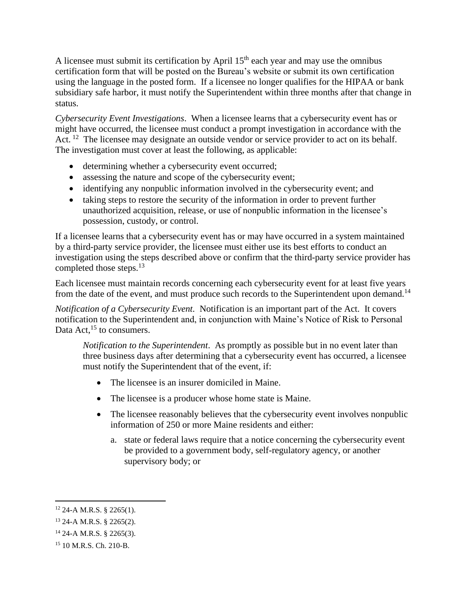using the language in the posted form. If a licensee no longer qualifies for the HIPAA or bank A licensee must submit its certification by April  $15<sup>th</sup>$  each year and may use the omnibus certification form that will be posted on the Bureau's website or submit its own certification subsidiary safe harbor, it must notify the Superintendent within three months after that change in status.

*Cybersecurity Event Investigations*. When a licensee learns that a cybersecurity event has or might have occurred, the licensee must conduct a prompt investigation in accordance with the Act.<sup>12</sup> The licensee may designate an outside vendor or service provider to act on its behalf. The investigation must cover at least the following, as applicable:

- determining whether a cybersecurity event occurred;
- assessing the nature and scope of the cybersecurity event;
- identifying any nonpublic information involved in the cybersecurity event; and
- taking steps to restore the security of the information in order to prevent further unauthorized acquisition, release, or use of nonpublic information in the licensee's possession, custody, or control.

If a licensee learns that a cybersecurity event has or may have occurred in a system maintained by a third-party service provider, the licensee must either use its best efforts to conduct an investigation using the steps described above or confirm that the third-party service provider has completed those [steps.](https://steps.13)<sup>13</sup>

Each licensee must maintain records concerning each cybersecurity event for at least five years from the date of the event, and must produce such records to the Superintendent upon [demand.](https://demand.14)<sup>14</sup>

 *Notification of a Cybersecurity Event.* Notification is an important part of the Act. It covers notification to the Superintendent and, in conjunction with Maine's Notice of Risk to Personal Data  $Act<sup>15</sup>$  to consumers.

*Notification to the Superintendent*. As promptly as possible but in no event later than three business days after determining that a cybersecurity event has occurred, a licensee must notify the Superintendent that of the event, if:

- The licensee is an insurer domiciled in Maine.
- The licensee is a producer whose home state is Maine.
- The licensee reasonably believes that the cybersecurity event involves nonpublic information of 250 or more Maine residents and either:
	- a. state or federal laws require that a notice concerning the cybersecurity event be provided to a government body, self-regulatory agency, or another supervisory body; or

 $12$  24-A M.R.S. § 2265(1).

<sup>13 24-</sup>A M.R.S. § 2265(2).

 $14$  24-A M.R.S. § 2265(3).

<sup>15 10</sup> M.R.S. Ch. 210-B.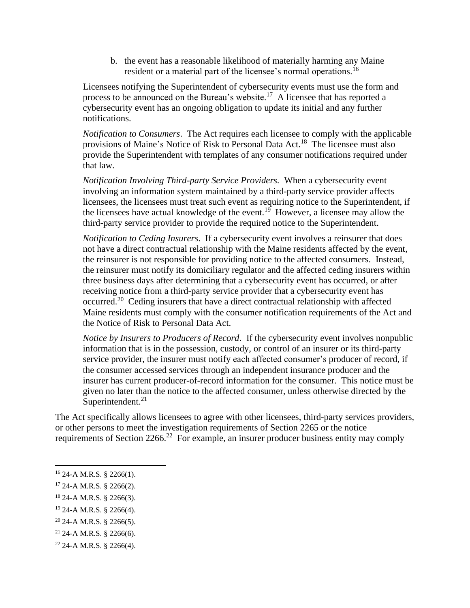b. the event has a reasonable likelihood of materially harming any Maine resident or a material part of the licensee's normal [operations.](https://operations.16)<sup>16</sup>

Licensees notifying the Superintendent of cybersecurity events must use the form and process to be announced on the Bureau's [website.](https://website.17)<sup>17</sup> A licensee that has reported a cybersecurity event has an ongoing obligation to update its initial and any further notifications.

provisions of Maine's Notice of Risk to Personal Data Act.<sup>18</sup> The licensee must also *Notification to Consumers*. The Act requires each licensee to comply with the applicable provide the Superintendent with templates of any consumer notifications required under that law.

*Notification Involving Third-party Service Providers.* When a cybersecurity event involving an information system maintained by a third-party service provider affects licensees, the licensees must treat such event as requiring notice to the Superintendent, if the licensees have actual knowledge of the [event.](https://event.19)<sup>19</sup> However, a licensee may allow the third-party service provider to provide the required notice to the Superintendent.

*Notification to Ceding Insurers*. If a cybersecurity event involves a reinsurer that does not have a direct contractual relationship with the Maine residents affected by the event, the reinsurer is not responsible for providing notice to the affected consumers. Instead, the reinsurer must notify its domiciliary regulator and the affected ceding insurers within three business days after determining that a cybersecurity event has occurred, or after receiving notice from a third-party service provider that a cybersecurity event has [occurred.](https://occurred.20)<sup>20</sup> Ceding insurers that have a direct contractual relationship with affected Maine residents must comply with the consumer notification requirements of the Act and the Notice of Risk to Personal Data Act.

*Notice by Insurers to Producers of Record*. If the cybersecurity event involves nonpublic information that is in the possession, custody, or control of an insurer or its third-party service provider, the insurer must notify each affected consumer's producer of record, if the consumer accessed services through an independent insurance producer and the insurer has current producer-of-record information for the consumer. This notice must be given no later than the notice to the affected consumer, unless otherwise directed by the [Superintendent.](https://Superintendent.21)<sup>21</sup>

requirements of Section 2266.<sup>22</sup> For example, an insurer producer business entity may comply The Act specifically allows licensees to agree with other licensees, third-party services providers, or other persons to meet the investigation requirements of Section 2265 or the notice

19 24-A M.R.S. § 2266(4).

 $21$  24-A M.R.S. § 2266(6).

 $16$  24-A M.R.S. § 2266(1).

 $17$  24-A M.R.S. § 2266(2).

<sup>18 24-</sup>A M.R.S. § 2266(3).

 $20$  24-A M.R.S. § 2266(5).

 $22$  24-A M.R.S. § 2266(4).